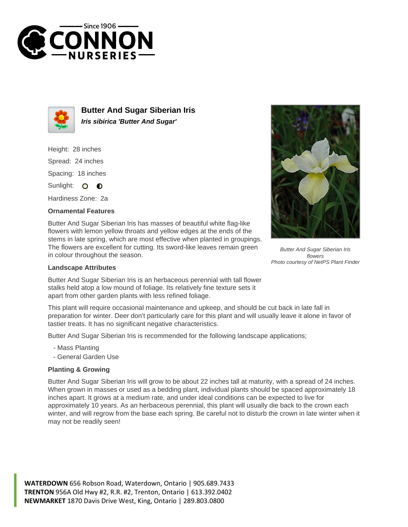



**Butter And Sugar Siberian Iris Iris sibirica 'Butter And Sugar'**

Height: 28 inches Spread: 24 inches Spacing: 18 inches Sunlight: O **O** 

Hardiness Zone: 2a

## **Ornamental Features**

Butter And Sugar Siberian Iris has masses of beautiful white flag-like flowers with lemon yellow throats and yellow edges at the ends of the stems in late spring, which are most effective when planted in groupings. The flowers are excellent for cutting. Its sword-like leaves remain green in colour throughout the season.

## **Landscape Attributes**

Butter And Sugar Siberian Iris is an herbaceous perennial with tall flower stalks held atop a low mound of foliage. Its relatively fine texture sets it apart from other garden plants with less refined foliage.

This plant will require occasional maintenance and upkeep, and should be cut back in late fall in preparation for winter. Deer don't particularly care for this plant and will usually leave it alone in favor of tastier treats. It has no significant negative characteristics.

Butter And Sugar Siberian Iris is recommended for the following landscape applications;

- Mass Planting
- General Garden Use

## **Planting & Growing**

Butter And Sugar Siberian Iris will grow to be about 22 inches tall at maturity, with a spread of 24 inches. When grown in masses or used as a bedding plant, individual plants should be spaced approximately 18 inches apart. It grows at a medium rate, and under ideal conditions can be expected to live for approximately 10 years. As an herbaceous perennial, this plant will usually die back to the crown each winter, and will regrow from the base each spring. Be careful not to disturb the crown in late winter when it may not be readily seen!

**WATERDOWN** 656 Robson Road, Waterdown, Ontario | 905.689.7433 **TRENTON** 956A Old Hwy #2, R.R. #2, Trenton, Ontario | 613.392.0402 **NEWMARKET** 1870 Davis Drive West, King, Ontario | 289.803.0800



Butter And Sugar Siberian Iris flowers Photo courtesy of NetPS Plant Finder